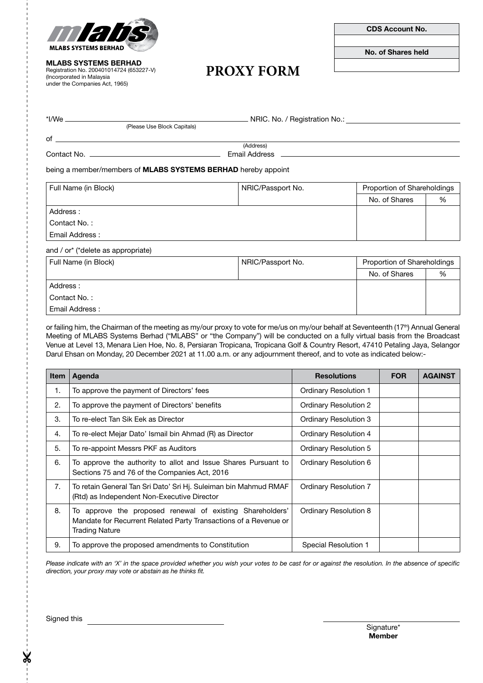

MLABS SYSTEMS BERHAD

Registration No. 200401014724 (653227-V) (Incorporated in Malaysia under the Companies Act, 1965)

CDS Account No.

No. of Shares held

# **PROXY FORM**

\*I/We NRIC. No. / Registration No.:

of

(Address) Contact No. Email Address

being a member/members of MLABS SYSTEMS BERHAD hereby appoint

(Please Use Block Capitals)

| Full Name (in Block) | NRIC/Passport No. | Proportion of Shareholdings |   |
|----------------------|-------------------|-----------------------------|---|
|                      |                   | No. of Shares               | % |
| Address:             |                   |                             |   |
| Contact No.:         |                   |                             |   |
| Email Address:       |                   |                             |   |

and / or\* (\*delete as appropriate)

| Full Name (in Block) | NRIC/Passport No. | Proportion of Shareholdings |   |
|----------------------|-------------------|-----------------------------|---|
|                      |                   | No. of Shares               | % |
| Address:             |                   |                             |   |
| Contact No.:         |                   |                             |   |
| Email Address:       |                   |                             |   |

or failing him, the Chairman of the meeting as my/our proxy to vote for me/us on my/our behalf at Seventeenth (17<sup>th</sup>) Annual General Meeting of MLABS Systems Berhad ("MLABS" or "the Company") will be conducted on a fully virtual basis from the Broadcast Venue at Level 13, Menara Lien Hoe, No. 8, Persiaran Tropicana, Tropicana Golf & Country Resort, 47410 Petaling Jaya, Selangor Darul Ehsan on Monday, 20 December 2021 at 11.00 a.m. or any adjournment thereof, and to vote as indicated below:-

| <b>Item</b> | Agenda                                                                                                                                                 | <b>Resolutions</b>           | <b>FOR</b> | <b>AGAINST</b> |
|-------------|--------------------------------------------------------------------------------------------------------------------------------------------------------|------------------------------|------------|----------------|
| 1.          | To approve the payment of Directors' fees                                                                                                              | <b>Ordinary Resolution 1</b> |            |                |
| 2.          | To approve the payment of Directors' benefits                                                                                                          | Ordinary Resolution 2        |            |                |
| 3.          | To re-elect Tan Sik Eek as Director                                                                                                                    | Ordinary Resolution 3        |            |                |
| 4.          | To re-elect Mejar Dato' Ismail bin Ahmad (R) as Director                                                                                               | Ordinary Resolution 4        |            |                |
| 5.          | To re-appoint Messrs PKF as Auditors                                                                                                                   | Ordinary Resolution 5        |            |                |
| 6.          | To approve the authority to allot and Issue Shares Pursuant to<br>Sections 75 and 76 of the Companies Act, 2016                                        | Ordinary Resolution 6        |            |                |
| 7.          | To retain General Tan Sri Dato' Sri Hj. Suleiman bin Mahmud RMAF<br>(Rtd) as Independent Non-Executive Director                                        | Ordinary Resolution 7        |            |                |
| 8.          | To approve the proposed renewal of existing Shareholders'<br>Mandate for Recurrent Related Party Transactions of a Revenue or<br><b>Trading Nature</b> | Ordinary Resolution 8        |            |                |
| 9.          | To approve the proposed amendments to Constitution                                                                                                     | Special Resolution 1         |            |                |

*Please indicate with an 'X' in the space provided whether you wish your votes to be cast for or against the resolution. In the absence of specific direction, your proxy may vote or abstain as he thinks fit.*

Signed this

Signature\* Member